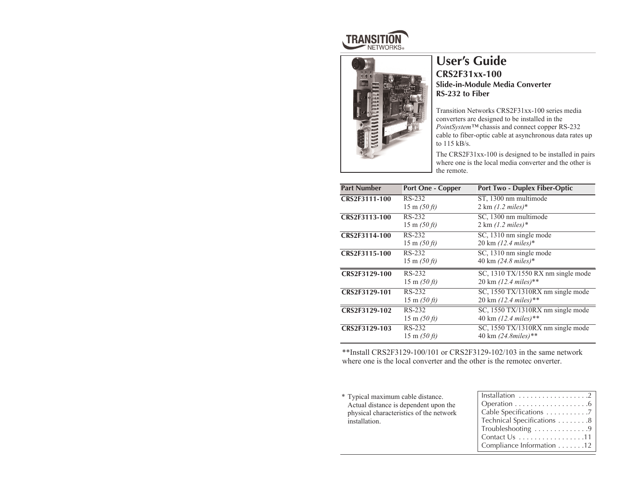



# **User's Guide CRS2F31xx-100 Slide-in-Module Media Converter RS-232 to Fiber**

Transition Networks CRS2F31xx-100 series media converters are designed to be installed in the *PointSystem™* chassis and connect copper RS-232 cable to fiber-optic cable at asynchronous data rates up to 115 kB/s.

The CRS2F31xx-100 is designed to be installed in pairs where one is the local media converter and the other is the remote.

| <b>Part Number</b> | <b>Port One - Copper</b>        | <b>Port Two - Duplex Fiber-Optic</b>     |  |
|--------------------|---------------------------------|------------------------------------------|--|
| CRS2F3111-100      | RS-232                          | ST, 1300 nm multimode                    |  |
|                    | $15 \text{ m } (50 \text{ ft})$ | $2 \text{ km } (1.2 \text{ miles})$ *    |  |
| CRS2F3113-100      | RS-232                          | SC, 1300 nm multimode                    |  |
|                    | $15 \text{ m } (50 \text{ ft})$ | $2 \text{ km } (1.2 \text{ miles})$ *    |  |
| CRS2F3114-100      | RS-232                          | SC, 1310 nm single mode                  |  |
|                    | $15 \text{ m } (50 \text{ ft})$ | $20 \text{ km } (12.4 \text{ miles})$ *  |  |
| CRS2F3115-100      | RS-232                          | SC, 1310 nm single mode                  |  |
|                    | $15 \text{ m } (50 \text{ ft})$ | 40 km (24.8 miles)*                      |  |
| CRS2F3129-100      | RS-232                          | SC, 1310 TX/1550 RX nm single mode       |  |
|                    | $15 \text{ m } (50 \text{ ft})$ | $20 \text{ km } (12.4 \text{ miles})$ ** |  |
| CRS2F3129-101      | RS-232                          | SC, 1550 TX/1310RX nm single mode        |  |
|                    | $15 \text{ m } (50 \text{ ft})$ | 20 km $(12.4 \text{ miles})$ **          |  |
| CRS2F3129-102      | RS-232                          | SC, 1550 TX/1310RX nm single mode        |  |
|                    | $15 \text{ m } (50 \text{ ft})$ | 40 km $(12.4 \text{ miles})$ **          |  |
| CRS2F3129-103      | RS-232                          | SC, 1550 TX/1310RX nm single mode        |  |
|                    | $15 \text{ m } (50 \text{ ft})$ | 40 km (24.8miles)**                      |  |

\*\*Install CRS2F3129-100/101 or CRS2F3129-102/103 in the same network where one is the local converter and the other is the remotec onverter.

\* Typical maximum cable distance. Actual distance is dependent upon the physical characteristics of the network installation.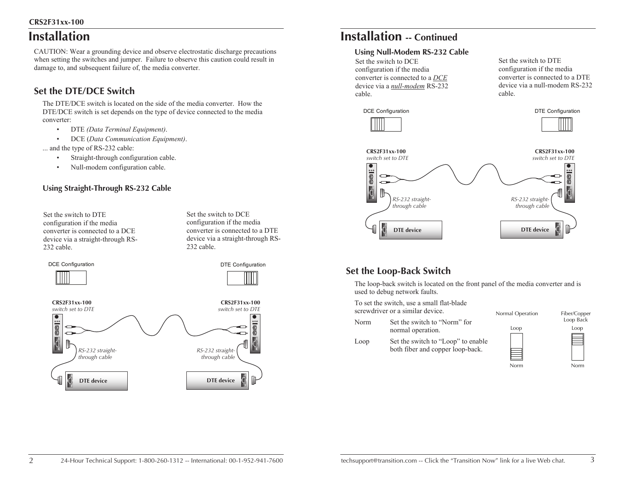## **CRS2F31xx-100**

# **Installation**

CAUTION: Wear a grounding device and observe electrostatic discharge precautions when setting the switches and jumper. Failure to observe this caution could result in damage to, and subsequent failure of, the media converter.

# **Set the DTE/DCE Switch**

The DTE/DCE switch is located on the side of the media converter. How the DTE/DCE switch is set depends on the type of device connected to the media converter:

- •DTE *(Data Terminal Equipment)*.
- •DCE (*Data Communication Equipment)*.

... and the type of RS-232 cable:

- •Straight-through configuration cable.
- •Null-modem configuration cable.

## **Using Straight-Through RS-232 Cable**

Set the switch to DTE configuration if the media converter is connected to a DCE device via a straight-through RS-232 cable.

Set the switch to DCE configuration if the media converter is connected to a DTE device via a straight-through RS-232 cable.



# **Installation -- Continued**

## **Using Null-Modem RS-232 Cable**

Set the switch to DCE configuration if the media converter is connected to a *DCE* device via a *null-modem* RS-232 cable.

 $\overline{\bullet}$ 

 $\frac{2}{3}$  00

Set the switch to DTE configuration if the media converter is connected to a DTE device via a null-modem RS-232 cable.



# **Set the Loop-Back Switch**

The loop-back switch is located on the front panel of the media converter and is used to debug network faults.

**DTE device DTE** device

To set the switch, use a small flat-blade screwdriver or a similar device.

## Loop Normal Operation Fiber/Copper

Norm

Norm Set the switch to "Norm" for normal operation.

Loop Back

Loop Set the switch to "Loop" to enable both fiber and copper loop-back.

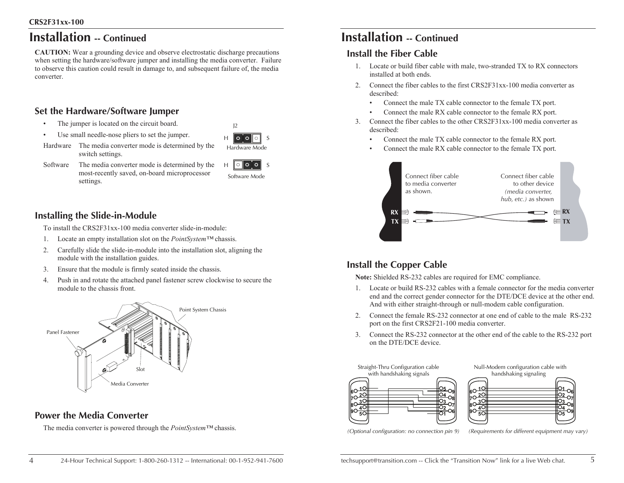# **Installation -- Continued**

**CAUTION:** Wear a grounding device and observe electrostatic discharge precautions when setting the hardware/software jumper and installing the media converter. Failure to observe this caution could result in damage to, and subsequent failure of, the media converter.

# **Set the Hardware/Software Jumper**

switch settings.

- •The jumper is located on the circuit board.
- •Use small needle-nose pliers to set the jumper.
- HI O O Hardware Mode

 $12$ 

S

Software The media converter mode is determined by the most-recently saved, on-board microprocessor settings.

Hardware The media converter mode is determined by the

H OOOO S Software Mode

## **Installing the Slide-in-Module**

To install the CRS2F31xx-100 media converter slide-in-module:

- 1. Locate an empty installation slot on the *PointSystem™* chassis.
- 2. Carefully slide the slide-in-module into the installation slot, aligning the module with the installation guides.
- 3. Ensure that the module is firmly seated inside the chassis.
- 4. Push in and rotate the attached panel fastener screw clockwise to secure the module to the chassis front.



# **Power the Media Converter**

The media converter is powered through the *PointSystem™* chassis.

# **Installation -- Continued**

## **Install the Fiber Cable**

- 1. Locate or build fiber cable with male, two-stranded TX to RX connectors installed at both ends.
- 2. Connect the fiber cables to the first CRS2F31xx-100 media converter as described:
	- •Connect the male TX cable connector to the female TX port.
	- •Connect the male RX cable connector to the female RX port.
- 3. Connect the fiber cables to the other CRS2F31xx-100 media converter as described:
	- •Connect the male TX cable connector to the female RX port.
	- •Connect the male RX cable connector to the female TX port.



# **Install the Copper Cable**

**Note:** Shielded RS-232 cables are required for EMC compliance.

- 1. Locate or build RS-232 cables with a female connector for the media converter end and the correct gender connector for the DTE/DCE device at the other end. And with either straight-through or null-modem cable configuration.
- 2. Connect the female RS-232 connector at one end of cable to the male RS-232 port on the first CRS2F21-100 media converter.
- 3. Connect the RS-232 connector at the other end of the cable to the RS-232 port on the DTE/DCE device.







*(Optional configuration: no connection pin 9)*

*(Requirements for different equipment may vary)*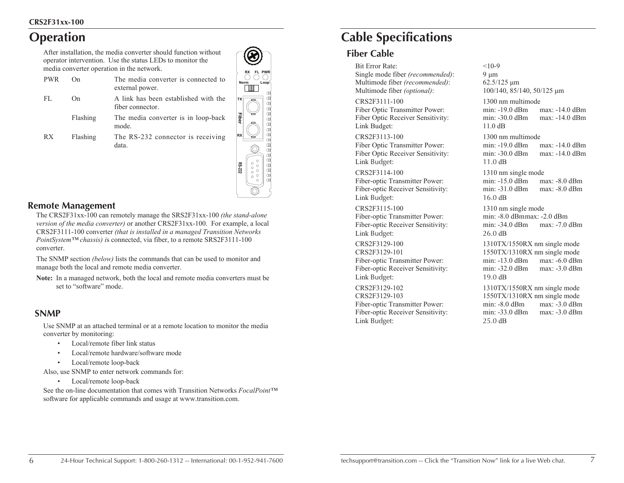# **Operation**

After installation, the media converter should function without operator intervention. Use the status LEDs to monitor the media converter operation in the network.

| PWR. | ( )n     | The media converter is connected to<br>external power.   |
|------|----------|----------------------------------------------------------|
| FL.  | On.      | A link has been established with the<br>fiber connector. |
|      | Flashing | The media converter is in loop-back<br>mode.             |
| RX.  | Flashing | The RS-232 connector is receiving<br>data.               |



## **Remote Management**

The CRS2F31xx-100 can remotely manage the SRS2F31xx-100 *(the stand-alone version of the media converter)* or another CRS2F31xx-100. For example, a local CRS2F3111-100 converter *(that is installed in a managed Transition Networks PointSystem™ chassis) i*s connected, via fiber, to a remote SRS2F3111-100 converter.

The SNMP section *(below)* lists the commands that can be used to monitor and manage both the local and remote media converter.

**Note:** In a managed network, both the local and remote media converters must be set to "software" mode.

## **SNMP**

Use SNMP at an attached terminal or at a remote location to monitor the media converter by monitoring:

- •Local/remote fiber link status
- •Local/remote hardware/software mode
- •Local/remote loop-back

Also, use SNMP to enter network commands for:

• Local/remote loop-back

See the on-line documentation that comes with Transition Networks *FocalPoint™* software for applicable commands and usage at www.transition.com.

# **Cable Specifications**

## **Fiber Cable**

Bit Error Rate: <10-9 Single mode fiber *(recommended)*: 9 μm Multimode fiber *(recommended)*: 62.5/125 μ<sup>m</sup> Multimode fiber *(optional)*: 100/140, 85/140, 50/125 μ<sup>m</sup>

CRS2F3111-100 1300 nm multimode Link Budget: 11.0 dB

CRS2F3113-100 1300 nm multimode Link Budget: 11.0 dB

CRS2F3114-100 1310 nm single mode Link Budget: 16.0 dB

CRS2F3115-100 1310 nm single mode Fiber-optic Transmitter Power: min: -8.0 dBmmax: -2.0 dBm Link Budget: 26.0 dB

Link Budget: 19.0 dB

CRS2F3129-102 1310TX/1550RX nm single mode Link Budget: 25.0 dB

Fiber Optic Transmitter Power: min: -19.0 dBm max: -14.0 dBm Fiber Optic Receiver Sensitivity: min: -30.0 dBm max: -14.0 dBm

Fiber Optic Transmitter Power: min: -19.0 dBm max: -14.0 dBm Fiber Optic Receiver Sensitivity: min: -30.0 dBm max: -14.0 dBm

Fiber-optic Transmitter Power: min: -15.0 dBm max: -8.0 dBm Fiber-optic Receiver Sensitivity: min: -31.0 dBm max: -8.0 dBm

Fiber-optic Receiver Sensitivity: min: -34.0 dBm max: -7.0 dBm

CRS2F3129-100 1310TX/1550RX nm single mode CRS2F3129-101 1550TX/1310RX nm single mode Fiber-optic Transmitter Power: min: -13.0 dBm max: -6.0 dBm Fiber-optic Receiver Sensitivity: min: -32.0 dBm max: -3.0 dBm

CRS2F3129-103 1550TX/1310RX nm single mode Fiber-optic Transmitter Power: min: -8.0 dBm max: -3.0 dBm Fiber-optic Receiver Sensitivity: min: -33.0 dBm max: -3.0 dBm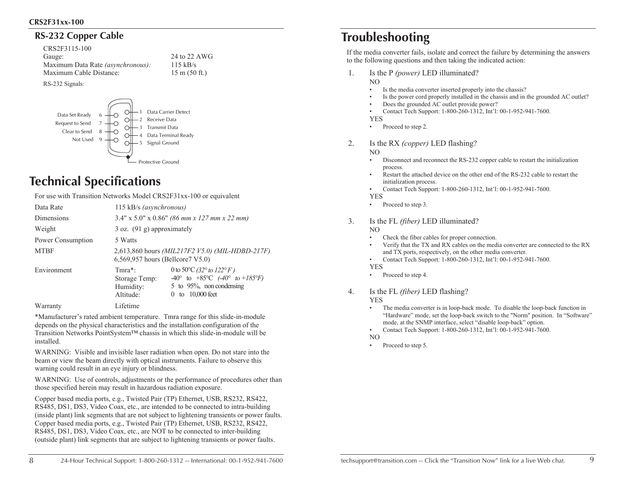## **RS-232 Copper Cable**

CRS2F3115-100 Gauge: 24 to 22 AWG Maximum Data Rate *(asynchronous):* 115 kB/s<br>Maximum Cable Distance: 15 m (50 ft.) Maximum Cable Distance:

RS-232 Signals:



# **Technical Specifications**

For use with Transition Networks Model CRS2F31xx-100 or equivalent

| Data Rate         | 115 kB/s (asynchronous)                                                                    |                                                                                                                                                                       |  |
|-------------------|--------------------------------------------------------------------------------------------|-----------------------------------------------------------------------------------------------------------------------------------------------------------------------|--|
| Dimensions        | $3.4"$ x $5.0"$ x $0.86"$ (86 mm x 127 mm x 22 mm)                                         |                                                                                                                                                                       |  |
| Weight            | $3$ oz. $(91 g)$ approximately                                                             |                                                                                                                                                                       |  |
| Power Consumption | 5 Watts                                                                                    |                                                                                                                                                                       |  |
| <b>MTBF</b>       | 2,613,860 hours <i>(MIL217F2 V5.0) (MIL-HDBD-217F)</i><br>6,569,957 hours (Bellcore7 V5.0) |                                                                                                                                                                       |  |
| Environment       | $Tmra*$ :<br>Storage Temp:<br>Humidity:<br>Altitude:                                       | 0 to 50 °C (32 $\degree$ to 122 $\degree$ F)<br>$-40^{\circ}$ to $+85^{\circ}$ C $(-40^{\circ}$ to $+185^{\circ}F)$<br>5 to 95%, non condensing<br>0 to $10,000$ feet |  |
| Warranty          | Lifetime                                                                                   |                                                                                                                                                                       |  |

\*Manufacturer's rated ambient temperature. Tmra range for this slide-in-module depends on the physical characteristics and the installation configuration of the Transition Networks PointSystem™ chassis in which this slide-in-module will be installed.

WARNING: Visible and invisible laser radiation when open. Do not stare into the beam or view the beam directly with optical instruments. Failure to observe this warning could result in an eye injury or blindness.

WARNING: Use of controls, adjustments or the performance of procedures other than those specified herein may result in hazardous radiation exposure.

Copper based media ports, e.g., Twisted Pair (TP) Ethernet, USB, RS232, RS422, RS485, DS1, DS3, Video Coax, etc., are intended to be connected to intra-building (inside plant) link segments that are not subject to lightening transients or power faults. Copper based media ports, e.g., Twisted Pair (TP) Ethernet, USB, RS232, RS422, RS485, DS1, DS3, Video Coax, etc., are NOT to be connected to inter-building (outside plant) link segments that are subject to lightening transients or power faults.

# **Troubleshooting**

If the media converter fails, isolate and correct the failure by determining the answers to the following questions and then taking the indicated action:

- 1. Is the P *(power)* LED illuminated?
	- NO •
	- •Is the media converter inserted properly into the chassis?
	- Is the power cord properly installed in the chassis and in the grounded AC outlet?
	- •Does the grounded AC outlet provide power?
	- •Contact Tech Support: 1-800-260-1312, Int'l: 00-1-952-941-7600.
	- YES
	- •Proceed to step 2.

2. Is the RX *(copper)* LED flashing?

NO •

- Disconnect and reconnect the RS-232 copper cable to restart the initialization process.
- • Restart the attached device on the other end of the RS-232 cable to restart the initialization process.
- •Contact Tech Support: 1-800-260-1312, Int'l: 00-1-952-941-7600.

YES

- •Proceed to step 3.
- 3. Is the FL *(fiber)* LED illuminated?
	- NO
		- •Check the fiber cables for proper connection.
		- • Verify that the TX and RX cables on the media converter are connected to the RX and TX ports, respectively, on the other media converter.
		- Contact Tech Support: 1-800-260-1312, Int'l: 00-1-952-941-7600.

•YES

•Proceed to step 4.

4. Is the FL *(fiber)* LED flashing?

YES •

- The media converter is in loop-back mode. To disable the loop-back function in "Hardware" mode, set the loop-back switch to the "Norm" position. In "Software" mode, at the SNMP interface, select "disable loop-back" option.
- •Contact Tech Support: 1-800-260-1312, Int'l: 00-1-952-941-7600.

NO •

Proceed to step 5.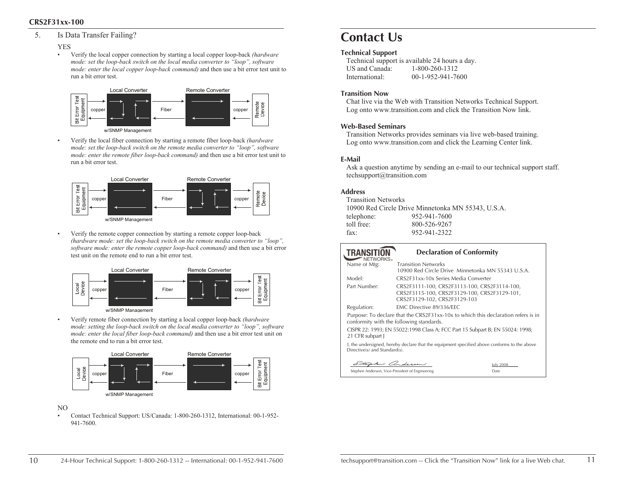## **CRS2F31xx-100**

## 5. Is Data Transfer Failing?

#### YES

•

•

• Verify the local copper connection by starting a local copper loop-back *(hardware mode: set the loop-back switch on the local media converter to "loop", software mode: enter the local copper loop-back command)* and then use a bit error test unit to run a bit error test.



 Verify the local fiber connection by starting a remote fiber loop-back *(hardware mode: set the loop-back switch on the remote media converter to "loop", software mode: enter the remote fiber loop-back command)* and then use a bit error test unit to run a bit error test.



 Verify the remote copper connection by starting a remote copper loop-back *(hardware mode: set the loop-back switch on the remote media converter to "loop", software mode: enter the remote copper loop-back command)* and then use a bit error test unit on the remote end to run a bit error test.



• Verify remote fiber connection by starting a local copper loop-back *(hardware mode: setting the loop-back switch on the local media converter to "loop", software mode: enter the local fiber loop-back command)* and then use a bit error test unit on the remote end to run a bit error test.



#### NO

• Contact Technical Support: US/Canada: 1-800-260-1312, International: 00-1-952- 941-7600.

# **Contact Us**

### **Technical Support**

Technical support is available 24 hours a day. US and Canada: 1-800-260-1312 International: 00-1-952-941-7600

### **Transition Now**

Chat live via the Web with Transition Networks Technical Support. Log onto www.transition.com and click the Transition Now link.

### **Web-Based Seminars**

Transition Networks provides seminars via live web-based training. Log onto www.transition.com and click the Learning Center link.

### **E-Mail**

Ask a question anytime by sending an e-mail to our technical support staff. techsupport@transition.com

### **Address**

| 10900 Red Circle Drive Minnetonka MN 55343, U.S.A. |
|----------------------------------------------------|
| 952-941-7600                                       |
| 800-526-9267                                       |
| 952-941-2322                                       |
|                                                    |

| <b>TRANSITION</b><br>NFTWORKS.                                                                                                | <b>Declaration of Conformity</b>                                                                                             |           |  |  |  |
|-------------------------------------------------------------------------------------------------------------------------------|------------------------------------------------------------------------------------------------------------------------------|-----------|--|--|--|
| Name of Mfg:                                                                                                                  | <b>Transition Networks</b><br>10900 Red Circle Drive Minnetonka MN 55343 U.S.A.                                              |           |  |  |  |
| Model:                                                                                                                        | CRS2E31xx-10x Series Media Converter                                                                                         |           |  |  |  |
| Part Number:                                                                                                                  | CRS2F3111-100, CRS2F3113-100, CRS2F3114-100,<br>CRS2F3115-100, CRS2F3129-100, CRS2F3129-101,<br>CRS2F3129-102, CRS2F3129-103 |           |  |  |  |
| Regulation:                                                                                                                   | EMC Directive 89/336/EEC                                                                                                     |           |  |  |  |
| Purpose: To declare that the CRS2F31xx-10x to which this declaration refers is in<br>conformity with the following standards. |                                                                                                                              |           |  |  |  |
| 21 CFR subpart J                                                                                                              | CISPR 22: 1993; EN 55022:1998 Class A; FCC Part 15 Subpart B; EN 55024: 1998;                                                |           |  |  |  |
| I, the undersigned, hereby declare that the equipment specified above conforms to the above<br>Directive(s) and Standard(s).  |                                                                                                                              |           |  |  |  |
|                                                                                                                               | her anderson                                                                                                                 | July 2008 |  |  |  |
| Stephen Anderson, Vice-President of Engineering                                                                               |                                                                                                                              | Date      |  |  |  |